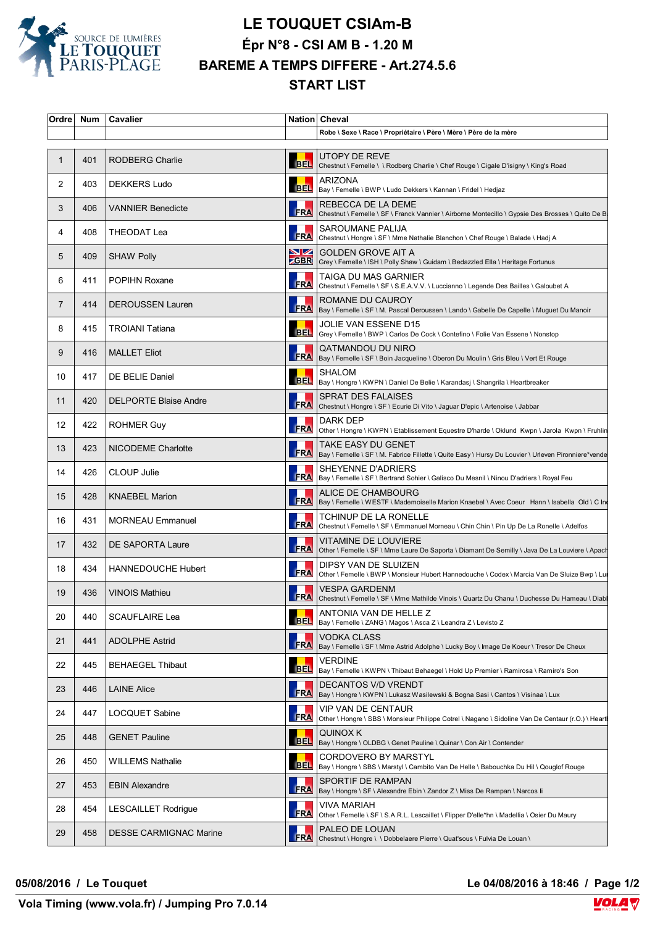

## **LE TOUQUET CSIAm-B Épr N°8 - CSI AM B - 1.20 M BAREME A TEMPS DIFFERE - Art.274.5.6 START LIST**

| Ordre Num       |     | Cavalier                      |            | Nation Cheval                                                                                                                        |
|-----------------|-----|-------------------------------|------------|--------------------------------------------------------------------------------------------------------------------------------------|
|                 |     |                               |            | Robe \ Sexe \ Race \ Propriétaire \ Père \ Mère \ Père de la mère                                                                    |
| 1               | 401 | <b>RODBERG Charlie</b>        | <b>BEL</b> | UTOPY DE REVE<br>Chestnut \ Femelle \ \ Rodberg Charlie \ Chef Rouge \ Cigale D'isigny \ King's Road                                 |
| 2               | 403 | <b>DEKKERS Ludo</b>           |            | <b>ARIZONA</b><br>BEL   Bay \ Femelle \ BWP \ Ludo Dekkers \ Kannan \ Fridel \ Hedjaz                                                |
| 3               | 406 | <b>VANNIER Benedicte</b>      | <b>FRA</b> | REBECCA DE LA DEME<br>Chestnut \ Femelle \ SF \ Franck Vannier \ Airborne Montecillo \ Gypsie Des Brosses \ Quito De B               |
| 4               | 408 | THEODAT Lea                   | <b>FRA</b> | SAROUMANE PALIJA<br>  Chestnut \ Hongre \ SF \ Mme Nathalie Blanchon \ Chef Rouge \ Balade \ Hadj A                                  |
| 5               | 409 | <b>SHAW Polly</b>             | VZ         | <b>GOLDEN GROVE AIT A</b><br><b>ZGBR</b> Grey \ Femelle \ ISH \ Polly Shaw \ Guidam \ Bedazzled Ella \ Heritage Fortunus             |
| 6               | 411 | <b>POPIHN Roxane</b>          | <b>FRA</b> | TAIGA DU MAS GARNIER<br>Chestnut \ Femelle \ SF \ S.E.A.V.V. \ Luccianno \ Legende Des Bailles \ Galoubet A                          |
| $\overline{7}$  | 414 | <b>DEROUSSEN Lauren</b>       |            | ROMANE DU CAUROY<br>FRA   Bay \ Femelle \ SF \ M. Pascal Deroussen \ Lando \ Gabelle De Capelle \ Muguet Du Manoir                   |
| 8               | 415 | <b>TROIANI Tatiana</b>        | <b>BEL</b> | JOLIE VAN ESSENE D15<br>Grey \ Femelle \ BWP \ Carlos De Cock \ Contefino \ Folie Van Essene \ Nonstop                               |
| 9               | 416 | <b>MALLET Eliot</b>           |            | QATMANDOU DU NIRO<br>FRA   Bay \ Femelle \ SF \ Boin Jacqueline \ Oberon Du Moulin \ Gris Bleu \ Vert Et Rouge                       |
| 10              | 417 | DE BELIE Daniel               |            | <b>SHALOM</b><br>BEL   Bay \ Hongre \ KWPN \ Daniel De Belie \ Karandasj \ Shangrila \ Heartbreaker                                  |
| 11              | 420 | <b>DELPORTE Blaise Andre</b>  | <b>FRA</b> | SPRAT DES FALAISES<br>Chestnut \ Hongre \ SF \ Ecurie Di Vito \ Jaguar D'epic \ Artenoise \ Jabbar                                   |
| 12 <sup>°</sup> | 422 | <b>ROHMER Guy</b>             | <b>FRA</b> | DARK DEP<br>Other \ Hongre \ KWPN \ Etablissement Equestre D'harde \ Oklund Kwpn \ Jarola Kwpn \ Fruhlin                             |
| 13              | 423 | NICODEME Charlotte            |            | TAKE EASY DU GENET<br>FRA   Bay \ Femelle \ SF \ M. Fabrice Fillette \ Quite Easy \ Hursy Du Louvier \ Urleven Pironniere*vende      |
| 14              | 426 | <b>CLOUP Julie</b>            |            | SHEYENNE D'ADRIERS<br>FRA Bay \ Femelle \ SF \ Bertrand Sohier \ Galisco Du Mesnil \ Ninou D'adriers \ Royal Feu                     |
| 15              | 428 | <b>KNAEBEL Marion</b>         |            | ALICE DE CHAMBOURG<br>FRA   Bay \ Femelle \ WESTF \ Mademoiselle Marion Knaebel \ Avec Coeur Hann \ Isabella Old \ C In              |
| 16              | 431 | <b>MORNEAU Emmanuel</b>       |            | TCHINUP DE LA RONELLE<br>FRA Chestnut \ Femelle \ SF \ Emmanuel Morneau \ Chin Chin \ Pin Up De La Ronelle \ Adelfos                 |
| 17              | 432 | DE SAPORTA Laure              | <b>FRA</b> | VITAMINE DE LOUVIERE<br>Other \ Femelle \ SF \ Mme Laure De Saporta \ Diamant De Semilly \ Java De La Louviere \ Apach               |
| 18              | 434 | HANNEDOUCHE Hubert            | <b>FRA</b> | DIPSY VAN DE SLUIZEN<br>Other \ Femelle \ BWP \ Monsieur Hubert Hannedouche \ Codex \ Marcia Van De Sluize Bwp \ Lu                  |
| 19              | 436 | <b>VINOIS Mathieu</b>         |            | VESPA GARDENM<br>FRA Chestnut \ Femelle \ SF \ Mme Mathilde Vinois \ Quartz Du Chanu \ Duchesse Du Hameau \ Diab                     |
| 20              | 440 | <b>SCAUFLAIRE Lea</b>         | <b>BEL</b> | ANTONIA VAN DE HELLE Z<br>Bay \ Femelle \ ZANG \ Magos \ Asca Z \ Leandra Z \ Levisto Z                                              |
| 21              | 441 | <b>ADOLPHE Astrid</b>         | <b>FRA</b> | VODKA CLASS<br> Bay \ Femelle \ SF \ Mme Astrid Adolphe \ Lucky Boy \ Image De Koeur \ Tresor De Cheux                               |
| 22              | 445 | <b>BEHAEGEL Thibaut</b>       | <b>BEL</b> | VERDINE<br>Bay \ Femelle \ KWPN \ Thibaut Behaegel \ Hold Up Premier \ Ramirosa \ Ramiro's Son                                       |
| 23              | 446 | <b>LAINE Alice</b>            | <b>FRA</b> | <b>DECANTOS V/D VRENDT</b><br>Bay \ Hongre \ KWPN \ Lukasz Wasilewski & Bogna Sasi \ Cantos \ Visinaa \ Lux                          |
| 24              | 447 | LOCQUET Sabine                |            | <b>VIP VAN DE CENTAUR</b><br>FRA   Other \ Hongre \ SBS \ Monsieur Philippe Cotrel \ Nagano \ Sidoline Van De Centaur (r.O.) \ Heart |
| 25              | 448 | <b>GENET Pauline</b>          | <b>BEL</b> | QUINOX K<br>Bay \ Hongre \ OLDBG \ Genet Pauline \ Quinar \ Con Air \ Contender                                                      |
| 26              | 450 | <b>WILLEMS Nathalie</b>       | <b>BEL</b> | CORDOVERO BY MARSTYL<br>Bay \ Hongre \ SBS \ Marstyl \ Cambito Van De Helle \ Babouchka Du Hil \ Qouglof Rouge                       |
| 27              | 453 | <b>EBIN Alexandre</b>         |            | SPORTIF DE RAMPAN<br>FRA   Bay \ Hongre \ SF \ Alexandre Ebin \ Zandor Z \ Miss De Rampan \ Narcos li                                |
| 28              | 454 | <b>LESCAILLET Rodrigue</b>    | <b>FRA</b> | VIVA MARIAH<br>Other \ Femelle \ SF \ S.A.R.L. Lescaillet \ Flipper D'elle*hn \ Madellia \ Osier Du Maury                            |
| 29              | 458 | <b>DESSE CARMIGNAC Marine</b> | <b>FRA</b> | PALEO DE LOUAN<br>Chestnut \ Hongre \ \ Dobbelaere Pierre \ Quat'sous \ Fulvia De Louan \                                            |

**05/08/2016 / Le Touquet Le 04/08/2016 à 18:46 / Page 1/2**